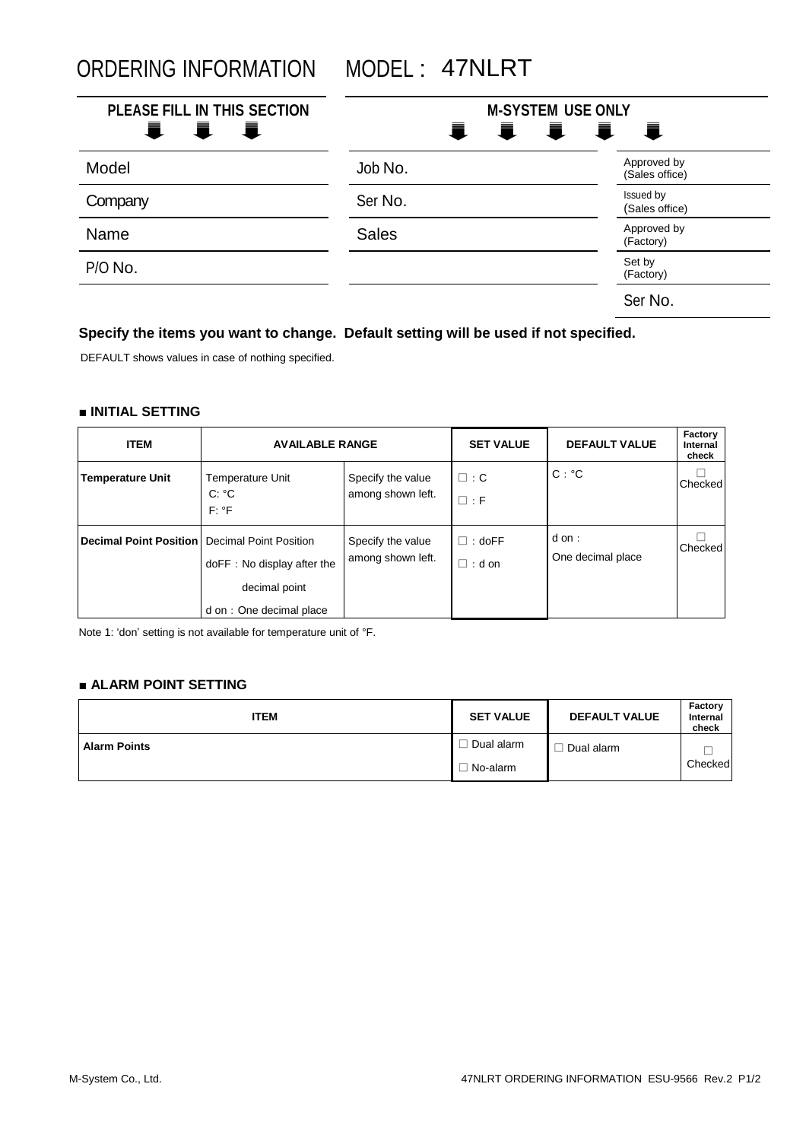ORDERING INFORMATION MODEL : 47NLRT

| PLEASE FILL IN THIS SECTION<br>I I<br>Ħ. | <b>M-SYSTEM USE ONLY</b><br><b>IIII</b> |                               |  |
|------------------------------------------|-----------------------------------------|-------------------------------|--|
| Model                                    | Job No.                                 | Approved by<br>(Sales office) |  |
| Company                                  | Ser No.                                 | Issued by<br>(Sales office)   |  |
| Name                                     | <b>Sales</b>                            | Approved by<br>(Factory)      |  |
| P/O No.                                  |                                         | Set by<br>(Factory)           |  |
|                                          |                                         | Ser No.                       |  |

# **Specify the items you want to change. Default setting will be used if not specified.**

DEFAULT shows values in case of nothing specified.

## **■ INITIAL SETTING**

| <b>ITEM</b>                   | <b>AVAILABLE RANGE</b>                                                                                  |                                        | <b>SET VALUE</b>               | <b>DEFAULT VALUE</b>      | Factory<br>Internal<br>check |
|-------------------------------|---------------------------------------------------------------------------------------------------------|----------------------------------------|--------------------------------|---------------------------|------------------------------|
| <b>Temperature Unit</b>       | Temperature Unit<br>$C: {}^{\circ}C$<br>$F: {}^{\circ}F$                                                | Specify the value<br>among shown left. | $\square$ : C<br>$\square$ : F | $C: {}^{\circ}C$          | Checked                      |
| <b>Decimal Point Position</b> | <b>Decimal Point Position</b><br>doFF: No display after the<br>decimal point<br>d on: One decimal place | Specify the value<br>among shown left. | $\Box$ : doFF<br>$\Box$ : d on | dom:<br>One decimal place | Checked                      |

Note 1: 'don' setting is not available for temperature unit of °F.

## **■ ALARM POINT SETTING**

| <b>ITEM</b>         | <b>SET VALUE</b> | <b>DEFAULT VALUE</b> | Factory<br>Internal<br>check |
|---------------------|------------------|----------------------|------------------------------|
| <b>Alarm Points</b> | Dual alarm       | Dual alarm           |                              |
|                     | No-alarm         |                      | Checked                      |